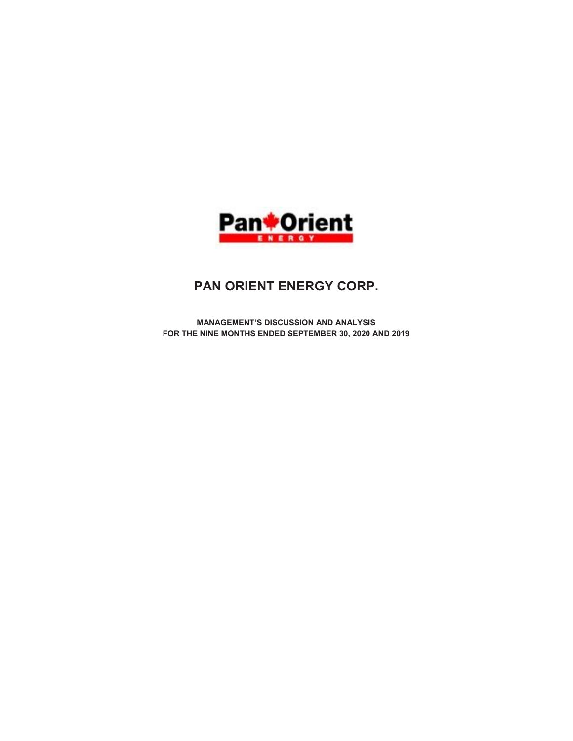

# PAN ORIENT ENERGY CORP.

MANAGEMENT'S DISCUSSION AND ANALYSIS FOR THE NINE MONTHS ENDED SEPTEMBER 30, 2020 AND 2019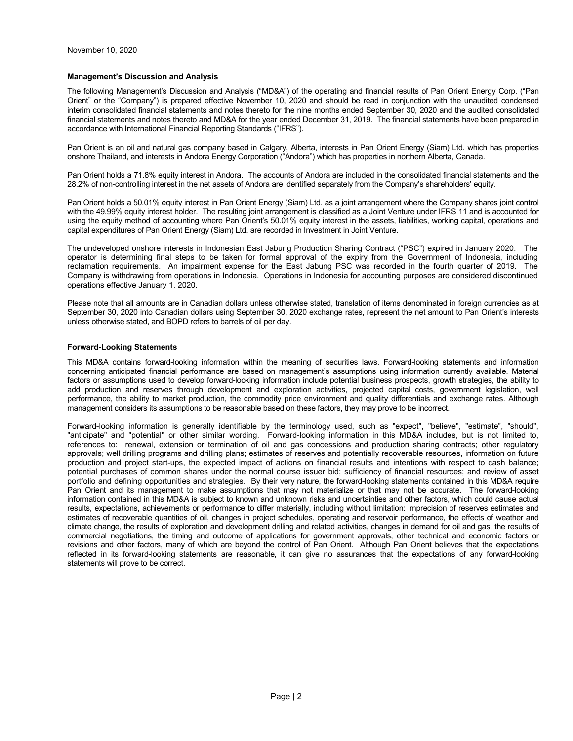## Management's Discussion and Analysis

The following Management's Discussion and Analysis ("MD&A") of the operating and financial results of Pan Orient Energy Corp. ("Pan Orient" or the "Company") is prepared effective November 10, 2020 and should be read in conjunction with the unaudited condensed interim consolidated financial statements and notes thereto for the nine months ended September 30, 2020 and the audited consolidated financial statements and notes thereto and MD&A for the year ended December 31, 2019. The financial statements have been prepared in accordance with International Financial Reporting Standards ("IFRS").

Pan Orient is an oil and natural gas company based in Calgary, Alberta, interests in Pan Orient Energy (Siam) Ltd. which has properties onshore Thailand, and interests in Andora Energy Corporation ("Andora") which has properties in northern Alberta, Canada.

Pan Orient holds a 71.8% equity interest in Andora. The accounts of Andora are included in the consolidated financial statements and the 28.2% of non-controlling interest in the net assets of Andora are identified separately from the Company's shareholders' equity.

Pan Orient holds a 50.01% equity interest in Pan Orient Energy (Siam) Ltd. as a joint arrangement where the Company shares joint control with the 49.99% equity interest holder. The resulting joint arrangement is classified as a Joint Venture under IFRS 11 and is accounted for using the equity method of accounting where Pan Orient's 50.01% equity interest in the assets, liabilities, working capital, operations and capital expenditures of Pan Orient Energy (Siam) Ltd. are recorded in Investment in Joint Venture.

The undeveloped onshore interests in Indonesian East Jabung Production Sharing Contract ("PSC") expired in January 2020. The operator is determining final steps to be taken for formal approval of the expiry from the Government of Indonesia, including reclamation requirements. An impairment expense for the East Jabung PSC was recorded in the fourth quarter of 2019. The Company is withdrawing from operations in Indonesia. Operations in Indonesia for accounting purposes are considered discontinued operations effective January 1, 2020.

Please note that all amounts are in Canadian dollars unless otherwise stated, translation of items denominated in foreign currencies as at September 30, 2020 into Canadian dollars using September 30, 2020 exchange rates, represent the net amount to Pan Orient's interests unless otherwise stated, and BOPD refers to barrels of oil per day.

# Forward-Looking Statements

This MD&A contains forward-looking information within the meaning of securities laws. Forward-looking statements and information concerning anticipated financial performance are based on management's assumptions using information currently available. Material factors or assumptions used to develop forward-looking information include potential business prospects, growth strategies, the ability to add production and reserves through development and exploration activities, projected capital costs, government legislation, well performance, the ability to market production, the commodity price environment and quality differentials and exchange rates. Although management considers its assumptions to be reasonable based on these factors, they may prove to be incorrect.

Forward-looking information is generally identifiable by the terminology used, such as "expect", "believe", "estimate", "should", "anticipate" and "potential" or other similar wording. Forward-looking information in this MD&A includes, but is not limited to, references to: renewal, extension or termination of oil and gas concessions and production sharing contracts; other regulatory approvals; well drilling programs and drilling plans; estimates of reserves and potentially recoverable resources, information on future production and project start-ups, the expected impact of actions on financial results and intentions with respect to cash balance; potential purchases of common shares under the normal course issuer bid; sufficiency of financial resources; and review of asset portfolio and defining opportunities and strategies. By their very nature, the forward-looking statements contained in this MD&A require Pan Orient and its management to make assumptions that may not materialize or that may not be accurate. The forward-looking information contained in this MD&A is subject to known and unknown risks and uncertainties and other factors, which could cause actual results, expectations, achievements or performance to differ materially, including without limitation: imprecision of reserves estimates and estimates of recoverable quantities of oil, changes in project schedules, operating and reservoir performance, the effects of weather and climate change, the results of exploration and development drilling and related activities, changes in demand for oil and gas, the results of commercial negotiations, the timing and outcome of applications for government approvals, other technical and economic factors or revisions and other factors, many of which are beyond the control of Pan Orient. Although Pan Orient believes that the expectations reflected in its forward-looking statements are reasonable, it can give no assurances that the expectations of any forward-looking statements will prove to be correct.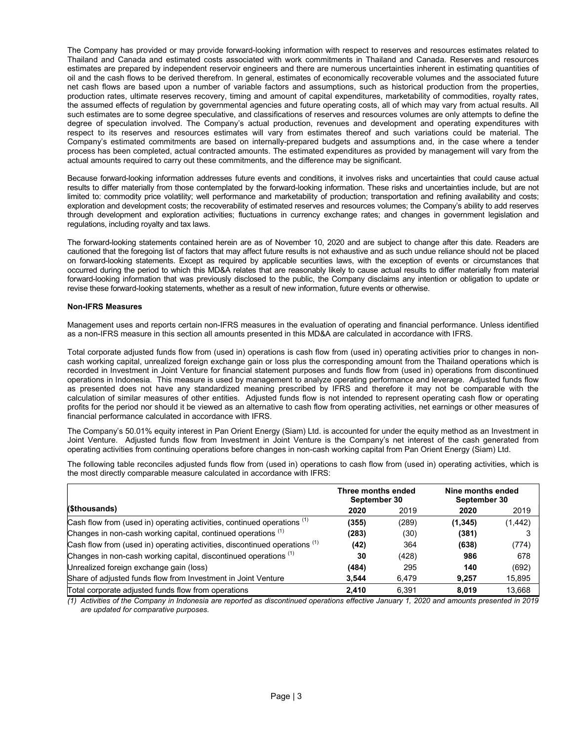The Company has provided or may provide forward-looking information with respect to reserves and resources estimates related to Thailand and Canada and estimated costs associated with work commitments in Thailand and Canada. Reserves and resources estimates are prepared by independent reservoir engineers and there are numerous uncertainties inherent in estimating quantities of oil and the cash flows to be derived therefrom. In general, estimates of economically recoverable volumes and the associated future net cash flows are based upon a number of variable factors and assumptions, such as historical production from the properties, production rates, ultimate reserves recovery, timing and amount of capital expenditures, marketability of commodities, royalty rates, the assumed effects of regulation by governmental agencies and future operating costs, all of which may vary from actual results. All such estimates are to some degree speculative, and classifications of reserves and resources volumes are only attempts to define the degree of speculation involved. The Company's actual production, revenues and development and operating expenditures with respect to its reserves and resources estimates will vary from estimates thereof and such variations could be material. The Company's estimated commitments are based on internally-prepared budgets and assumptions and, in the case where a tender process has been completed, actual contracted amounts. The estimated expenditures as provided by management will vary from the actual amounts required to carry out these commitments, and the difference may be significant.

Because forward-looking information addresses future events and conditions, it involves risks and uncertainties that could cause actual results to differ materially from those contemplated by the forward-looking information. These risks and uncertainties include, but are not limited to: commodity price volatility; well performance and marketability of production; transportation and refining availability and costs; exploration and development costs; the recoverability of estimated reserves and resources volumes; the Company's ability to add reserves through development and exploration activities; fluctuations in currency exchange rates; and changes in government legislation and regulations, including royalty and tax laws.

The forward-looking statements contained herein are as of November 10, 2020 and are subject to change after this date. Readers are cautioned that the foregoing list of factors that may affect future results is not exhaustive and as such undue reliance should not be placed on forward-looking statements. Except as required by applicable securities laws, with the exception of events or circumstances that occurred during the period to which this MD&A relates that are reasonably likely to cause actual results to differ materially from material forward-looking information that was previously disclosed to the public, the Company disclaims any intention or obligation to update or revise these forward-looking statements, whether as a result of new information, future events or otherwise.

# Non-IFRS Measures

Management uses and reports certain non-IFRS measures in the evaluation of operating and financial performance. Unless identified as a non-IFRS measure in this section all amounts presented in this MD&A are calculated in accordance with IFRS.

Total corporate adjusted funds flow from (used in) operations is cash flow from (used in) operating activities prior to changes in noncash working capital, unrealized foreign exchange gain or loss plus the corresponding amount from the Thailand operations which is recorded in Investment in Joint Venture for financial statement purposes and funds flow from (used in) operations from discontinued operations in Indonesia. This measure is used by management to analyze operating performance and leverage. Adjusted funds flow as presented does not have any standardized meaning prescribed by IFRS and therefore it may not be comparable with the calculation of similar measures of other entities. Adjusted funds flow is not intended to represent operating cash flow or operating profits for the period nor should it be viewed as an alternative to cash flow from operating activities, net earnings or other measures of financial performance calculated in accordance with IFRS.

The Company's 50.01% equity interest in Pan Orient Energy (Siam) Ltd. is accounted for under the equity method as an Investment in Joint Venture. Adjusted funds flow from Investment in Joint Venture is the Company's net interest of the cash generated from operating activities from continuing operations before changes in non-cash working capital from Pan Orient Energy (Siam) Ltd.

The following table reconciles adjusted funds flow from (used in) operations to cash flow from (used in) operating activities, which is the most directly comparable measure calculated in accordance with IFRS:

|                                                                                       | Three months ended<br>September 30 |       | Nine months ended<br>September 30 |          |  |
|---------------------------------------------------------------------------------------|------------------------------------|-------|-----------------------------------|----------|--|
| (\$thousands)                                                                         | 2020                               | 2019  | 2020                              | 2019     |  |
| Cash flow from (used in) operating activities, continued operations (1)               | (355)                              | (289) | (1, 345)                          | (1, 442) |  |
| Changes in non-cash working capital, continued operations (1)                         | (283)                              | (30)  | (381)                             |          |  |
| Cash flow from (used in) operating activities, discontinued operations <sup>(1)</sup> | (42)                               | 364   | (638)                             | (774)    |  |
| Changes in non-cash working capital, discontinued operations <sup>(1)</sup>           | 30                                 | (428) | 986                               | 678      |  |
| Unrealized foreign exchange gain (loss)                                               | (484)                              | 295   | 140                               | (692)    |  |
| Share of adjusted funds flow from Investment in Joint Venture                         | 3.544                              | 6.479 | 9.257                             | 15,895   |  |
| Total corporate adjusted funds flow from operations                                   | 2.410                              | 6.391 | 8.019                             | 13.668   |  |

(1) Activities of the Company in Indonesia are reported as discontinued operations effective January 1, 2020 and amounts presented in 2019 are updated for comparative purposes.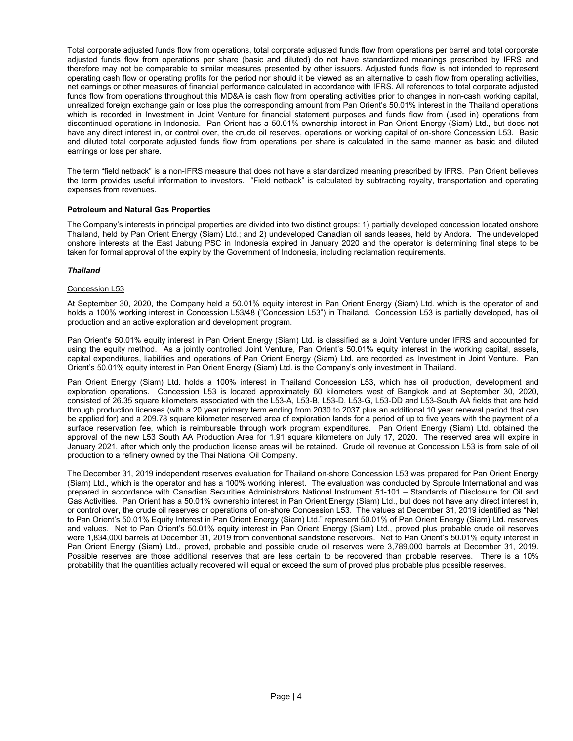Total corporate adjusted funds flow from operations, total corporate adjusted funds flow from operations per barrel and total corporate adjusted funds flow from operations per share (basic and diluted) do not have standardized meanings prescribed by IFRS and therefore may not be comparable to similar measures presented by other issuers. Adjusted funds flow is not intended to represent operating cash flow or operating profits for the period nor should it be viewed as an alternative to cash flow from operating activities, net earnings or other measures of financial performance calculated in accordance with IFRS. All references to total corporate adjusted funds flow from operations throughout this MD&A is cash flow from operating activities prior to changes in non-cash working capital, unrealized foreign exchange gain or loss plus the corresponding amount from Pan Orient's 50.01% interest in the Thailand operations which is recorded in Investment in Joint Venture for financial statement purposes and funds flow from (used in) operations from discontinued operations in Indonesia. Pan Orient has a 50.01% ownership interest in Pan Orient Energy (Siam) Ltd., but does not have any direct interest in, or control over, the crude oil reserves, operations or working capital of on-shore Concession L53. Basic and diluted total corporate adjusted funds flow from operations per share is calculated in the same manner as basic and diluted earnings or loss per share.

The term "field netback" is a non-IFRS measure that does not have a standardized meaning prescribed by IFRS. Pan Orient believes the term provides useful information to investors. "Field netback" is calculated by subtracting royalty, transportation and operating expenses from revenues.

# Petroleum and Natural Gas Properties

The Company's interests in principal properties are divided into two distinct groups: 1) partially developed concession located onshore Thailand, held by Pan Orient Energy (Siam) Ltd.; and 2) undeveloped Canadian oil sands leases, held by Andora. The undeveloped onshore interests at the East Jabung PSC in Indonesia expired in January 2020 and the operator is determining final steps to be taken for formal approval of the expiry by the Government of Indonesia, including reclamation requirements.

# Thailand

# Concession L53

At September 30, 2020, the Company held a 50.01% equity interest in Pan Orient Energy (Siam) Ltd. which is the operator of and holds a 100% working interest in Concession L53/48 ("Concession L53") in Thailand. Concession L53 is partially developed, has oil production and an active exploration and development program.

Pan Orient's 50.01% equity interest in Pan Orient Energy (Siam) Ltd. is classified as a Joint Venture under IFRS and accounted for using the equity method. As a jointly controlled Joint Venture, Pan Orient's 50.01% equity interest in the working capital, assets, capital expenditures, liabilities and operations of Pan Orient Energy (Siam) Ltd. are recorded as Investment in Joint Venture. Pan Orient's 50.01% equity interest in Pan Orient Energy (Siam) Ltd. is the Company's only investment in Thailand.

Pan Orient Energy (Siam) Ltd. holds a 100% interest in Thailand Concession L53, which has oil production, development and exploration operations. Concession L53 is located approximately 60 kilometers west of Bangkok and at September 30, 2020, consisted of 26.35 square kilometers associated with the L53-A, L53-B, L53-D, L53-G, L53-DD and L53-South AA fields that are held through production licenses (with a 20 year primary term ending from 2030 to 2037 plus an additional 10 year renewal period that can be applied for) and a 209.78 square kilometer reserved area of exploration lands for a period of up to five years with the payment of a surface reservation fee, which is reimbursable through work program expenditures. Pan Orient Energy (Siam) Ltd. obtained the approval of the new L53 South AA Production Area for 1.91 square kilometers on July 17, 2020. The reserved area will expire in January 2021, after which only the production license areas will be retained. Crude oil revenue at Concession L53 is from sale of oil production to a refinery owned by the Thai National Oil Company.

The December 31, 2019 independent reserves evaluation for Thailand on-shore Concession L53 was prepared for Pan Orient Energy (Siam) Ltd., which is the operator and has a 100% working interest. The evaluation was conducted by Sproule International and was prepared in accordance with Canadian Securities Administrators National Instrument 51-101 – Standards of Disclosure for Oil and Gas Activities. Pan Orient has a 50.01% ownership interest in Pan Orient Energy (Siam) Ltd., but does not have any direct interest in, or control over, the crude oil reserves or operations of on-shore Concession L53. The values at December 31, 2019 identified as "Net to Pan Orient's 50.01% Equity Interest in Pan Orient Energy (Siam) Ltd." represent 50.01% of Pan Orient Energy (Siam) Ltd. reserves and values. Net to Pan Orient's 50.01% equity interest in Pan Orient Energy (Siam) Ltd., proved plus probable crude oil reserves were 1,834,000 barrels at December 31, 2019 from conventional sandstone reservoirs. Net to Pan Orient's 50.01% equity interest in Pan Orient Energy (Siam) Ltd., proved, probable and possible crude oil reserves were 3,789,000 barrels at December 31, 2019. Possible reserves are those additional reserves that are less certain to be recovered than probable reserves. There is a 10% probability that the quantities actually recovered will equal or exceed the sum of proved plus probable plus possible reserves.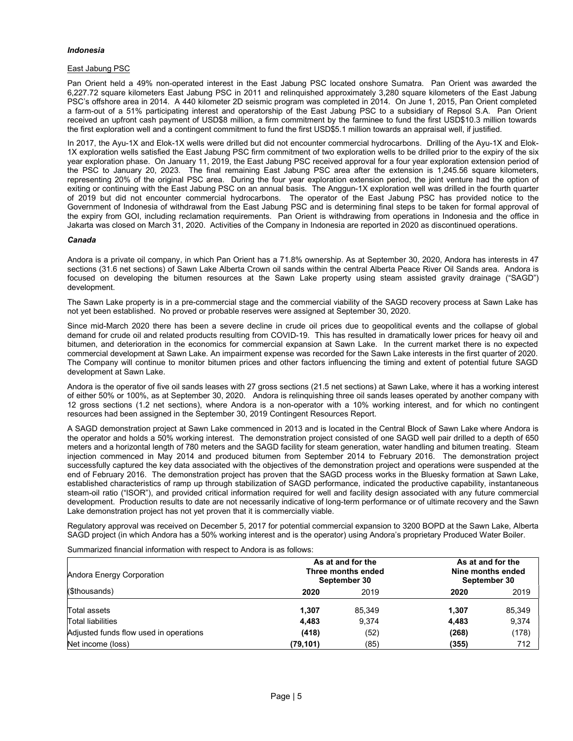# Indonesia

## East Jabung PSC

Pan Orient held a 49% non-operated interest in the East Jabung PSC located onshore Sumatra. Pan Orient was awarded the 6,227.72 square kilometers East Jabung PSC in 2011 and relinquished approximately 3,280 square kilometers of the East Jabung PSC's offshore area in 2014. A 440 kilometer 2D seismic program was completed in 2014. On June 1, 2015, Pan Orient completed a farm-out of a 51% participating interest and operatorship of the East Jabung PSC to a subsidiary of Repsol S.A. Pan Orient received an upfront cash payment of USD\$8 million, a firm commitment by the farminee to fund the first USD\$10.3 million towards the first exploration well and a contingent commitment to fund the first USD\$5.1 million towards an appraisal well, if justified.

In 2017, the Ayu-1X and Elok-1X wells were drilled but did not encounter commercial hydrocarbons. Drilling of the Ayu-1X and Elok-1X exploration wells satisfied the East Jabung PSC firm commitment of two exploration wells to be drilled prior to the expiry of the six year exploration phase. On January 11, 2019, the East Jabung PSC received approval for a four year exploration extension period of the PSC to January 20, 2023. The final remaining East Jabung PSC area after the extension is 1,245.56 square kilometers, representing 20% of the original PSC area. During the four year exploration extension period, the joint venture had the option of exiting or continuing with the East Jabung PSC on an annual basis. The Anggun-1X exploration well was drilled in the fourth quarter of 2019 but did not encounter commercial hydrocarbons. The operator of the East Jabung PSC has provided notice to the Government of Indonesia of withdrawal from the East Jabung PSC and is determining final steps to be taken for formal approval of the expiry from GOI, including reclamation requirements. Pan Orient is withdrawing from operations in Indonesia and the office in Jakarta was closed on March 31, 2020. Activities of the Company in Indonesia are reported in 2020 as discontinued operations.

#### Canada

Andora is a private oil company, in which Pan Orient has a 71.8% ownership. As at September 30, 2020, Andora has interests in 47 sections (31.6 net sections) of Sawn Lake Alberta Crown oil sands within the central Alberta Peace River Oil Sands area. Andora is focused on developing the bitumen resources at the Sawn Lake property using steam assisted gravity drainage ("SAGD") development.

The Sawn Lake property is in a pre-commercial stage and the commercial viability of the SAGD recovery process at Sawn Lake has not yet been established. No proved or probable reserves were assigned at September 30, 2020.

Since mid-March 2020 there has been a severe decline in crude oil prices due to geopolitical events and the collapse of global demand for crude oil and related products resulting from COVID-19. This has resulted in dramatically lower prices for heavy oil and bitumen, and deterioration in the economics for commercial expansion at Sawn Lake. In the current market there is no expected commercial development at Sawn Lake. An impairment expense was recorded for the Sawn Lake interests in the first quarter of 2020. The Company will continue to monitor bitumen prices and other factors influencing the timing and extent of potential future SAGD development at Sawn Lake.

Andora is the operator of five oil sands leases with 27 gross sections (21.5 net sections) at Sawn Lake, where it has a working interest of either 50% or 100%, as at September 30, 2020. Andora is relinquishing three oil sands leases operated by another company with 12 gross sections (1.2 net sections), where Andora is a non-operator with a 10% working interest, and for which no contingent resources had been assigned in the September 30, 2019 Contingent Resources Report.

A SAGD demonstration project at Sawn Lake commenced in 2013 and is located in the Central Block of Sawn Lake where Andora is the operator and holds a 50% working interest. The demonstration project consisted of one SAGD well pair drilled to a depth of 650 meters and a horizontal length of 780 meters and the SAGD facility for steam generation, water handling and bitumen treating. Steam injection commenced in May 2014 and produced bitumen from September 2014 to February 2016. The demonstration project successfully captured the key data associated with the objectives of the demonstration project and operations were suspended at the end of February 2016. The demonstration project has proven that the SAGD process works in the Bluesky formation at Sawn Lake, established characteristics of ramp up through stabilization of SAGD performance, indicated the productive capability, instantaneous steam-oil ratio ("ISOR"), and provided critical information required for well and facility design associated with any future commercial development. Production results to date are not necessarily indicative of long-term performance or of ultimate recovery and the Sawn Lake demonstration project has not yet proven that it is commercially viable.

Regulatory approval was received on December 5, 2017 for potential commercial expansion to 3200 BOPD at the Sawn Lake, Alberta SAGD project (in which Andora has a 50% working interest and is the operator) using Andora's proprietary Produced Water Boiler.

Summarized financial information with respect to Andora is as follows:

| Andora Energy Corporation              |          | As at and for the<br>Three months ended<br>September 30 |       | As at and for the<br>Nine months ended<br>September 30 |  |  |
|----------------------------------------|----------|---------------------------------------------------------|-------|--------------------------------------------------------|--|--|
| (\$thousands)                          | 2020     | 2019                                                    |       | 2019                                                   |  |  |
| Total assets                           | 1.307    | 85.349                                                  | 1.307 | 85,349                                                 |  |  |
| Total liabilities                      | 4.483    | 9,374                                                   | 4,483 | 9,374                                                  |  |  |
| Adjusted funds flow used in operations | (418)    | (52)                                                    | (268) | (178)                                                  |  |  |
| Net income (loss)                      | (79,101) | (85)                                                    | (355) | 712                                                    |  |  |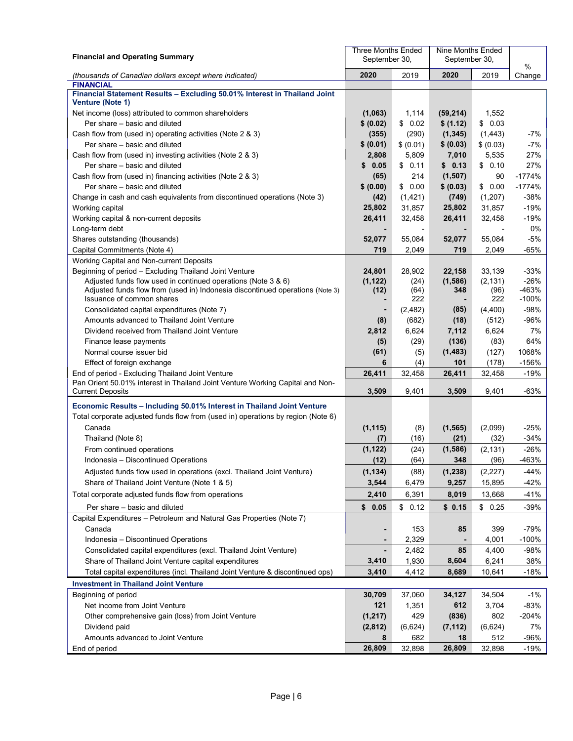| <b>Financial and Operating Summary</b>                                                                     | Three Months Ended<br>September 30, |                 | Nine Months Ended<br>September 30, |                 |                  |
|------------------------------------------------------------------------------------------------------------|-------------------------------------|-----------------|------------------------------------|-----------------|------------------|
| (thousands of Canadian dollars except where indicated)                                                     | 2020                                | 2019            | 2020                               | 2019            | %<br>Change      |
| <b>FINANCIAL</b>                                                                                           |                                     |                 |                                    |                 |                  |
| Financial Statement Results - Excluding 50.01% Interest in Thailand Joint<br><b>Venture (Note 1)</b>       |                                     |                 |                                    |                 |                  |
| Net income (loss) attributed to common shareholders                                                        | (1,063)                             | 1,114           | (59, 214)                          | 1,552           |                  |
| Per share – basic and diluted                                                                              | \$ (0.02)                           | \$0.02          | \$ (1.12)                          | \$0.03          |                  |
| Cash flow from (used in) operating activities (Note 2 & 3)                                                 | (355)                               | (290)           | (1, 345)                           | (1, 443)        | -7%              |
| Per share – basic and diluted                                                                              | \$ (0.01)                           | \$ (0.01)       | \$ (0.03)                          | \$ (0.03)       | -7%              |
| Cash flow from (used in) investing activities (Note 2 & 3)                                                 | 2,808                               | 5,809           | 7,010                              | 5,535           | 27%              |
| Per share - basic and diluted                                                                              | 0.05<br>S                           | \$0.11          | \$0.13                             | \$0.10          | 27%              |
| Cash flow from (used in) financing activities (Note 2 & 3)                                                 | (65)                                | 214             | (1,507)                            | 90              | $-1774%$         |
| Per share - basic and diluted                                                                              | \$ (0.00)                           | \$0.00          | \$ (0.03)                          | \$0.00          | $-1774%$         |
| Change in cash and cash equivalents from discontinued operations (Note 3)                                  | (42)                                | (1, 421)        | (749)                              | (1,207)         | $-38%$           |
| Working capital                                                                                            | 25,802                              | 31,857          | 25,802                             | 31,857          | $-19%$           |
| Working capital & non-current deposits                                                                     | 26,411                              | 32,458          | 26,411                             | 32,458          | $-19%$           |
| Long-term debt                                                                                             |                                     |                 |                                    |                 | 0%               |
| Shares outstanding (thousands)                                                                             | 52,077                              | 55,084          | 52,077                             | 55,084          | $-5%$            |
| Capital Commitments (Note 4)                                                                               | 719                                 | 2,049           | 719                                | 2,049           | -65%             |
| Working Capital and Non-current Deposits                                                                   |                                     |                 |                                    |                 |                  |
| Beginning of period - Excluding Thailand Joint Venture                                                     | 24,801                              | 28,902          | 22,158                             | 33,139          | $-33%$           |
| Adjusted funds flow used in continued operations (Note 3 & 6)                                              | (1, 122)                            | (24)            | (1,586)                            | (2, 131)        | $-26%$           |
| Adjusted funds flow from (used in) Indonesia discontinued operations (Note 3)<br>Issuance of common shares | (12)                                | (64)<br>222     | 348                                | (96)<br>222     | -463%<br>$-100%$ |
| Consolidated capital expenditures (Note 7)                                                                 |                                     | (2, 482)        | (85)                               | (4, 400)        | $-98%$           |
| Amounts advanced to Thailand Joint Venture                                                                 | (8)                                 | (682)           | (18)                               | (512)           | -96%             |
| Dividend received from Thailand Joint Venture                                                              | 2,812                               | 6,624           | 7,112                              | 6,624           | 7%               |
| Finance lease payments                                                                                     | (5)                                 | (29)            | (136)                              | (83)            | 64%              |
| Normal course issuer bid                                                                                   | (61)                                | (5)             | (1, 483)                           | (127)           | 1068%            |
| Effect of foreign exchange                                                                                 | 6                                   | (4)             | 101                                | (178)           | $-156%$          |
| End of period - Excluding Thailand Joint Venture                                                           | 26,411                              | 32,458          | 26,411                             | 32,458          | $-19%$           |
| Pan Orient 50.01% interest in Thailand Joint Venture Working Capital and Non-                              |                                     |                 |                                    |                 |                  |
| <b>Current Deposits</b>                                                                                    | 3,509                               | 9,401           | 3,509                              | 9,401           | -63%             |
| Economic Results - Including 50.01% Interest in Thailand Joint Venture                                     |                                     |                 |                                    |                 |                  |
| Total corporate adjusted funds flow from (used in) operations by region (Note 6)                           |                                     |                 |                                    |                 |                  |
| Canada                                                                                                     | (1, 115)                            | (8)             | (1, 565)                           | (2,099)         | -25%             |
| Thailand (Note 8)                                                                                          | (7)                                 | (16)            | (21)                               | (32)            | $-34%$           |
| From continued operations                                                                                  | (1, 122)                            | (24)            | (1,586)                            | (2, 131)        | $-26%$           |
| Indonesia - Discontinued Operations                                                                        | (12)                                | (64)            | 348                                | (96)            | -463%            |
| Adjusted funds flow used in operations (excl. Thailand Joint Venture)                                      | (1, 134)                            | (88)            | (1, 238)                           | (2, 227)        | $-44%$           |
| Share of Thailand Joint Venture (Note 1 & 5)                                                               | 3,544                               | 6,479           | 9,257                              | 15,895          | $-42%$           |
| Total corporate adjusted funds flow from operations                                                        | 2,410                               | 6,391           | 8,019                              | 13,668          | $-41%$           |
| Per share - basic and diluted                                                                              | \$0.05                              | \$0.12          | \$0.15                             | \$0.25          | $-39%$           |
| Capital Expenditures - Petroleum and Natural Gas Properties (Note 7)                                       |                                     |                 |                                    |                 |                  |
| Canada                                                                                                     |                                     | 153             | 85                                 | 399             | $-79%$           |
| Indonesia - Discontinued Operations                                                                        |                                     | 2,329           |                                    | 4,001           | $-100%$          |
| Consolidated capital expenditures (excl. Thailand Joint Venture)                                           |                                     | 2,482           | 85                                 | 4,400           | $-98%$           |
| Share of Thailand Joint Venture capital expenditures                                                       | 3,410                               | 1,930           | 8,604                              | 6,241           | 38%              |
| Total capital expenditures (incl. Thailand Joint Venture & discontinued ops)                               | 3,410                               | 4,412           | 8,689                              | 10,641          | $-18%$           |
|                                                                                                            |                                     |                 |                                    |                 |                  |
| <b>Investment in Thailand Joint Venture</b>                                                                |                                     |                 |                                    |                 |                  |
| Beginning of period<br>Net income from Joint Venture                                                       | 30,709<br>121                       | 37,060<br>1,351 | 34,127<br>612                      | 34,504<br>3,704 | $-1%$<br>$-83%$  |
|                                                                                                            |                                     | 429             |                                    | 802             | $-204%$          |
| Other comprehensive gain (loss) from Joint Venture                                                         | (1, 217)                            |                 | (836)                              |                 | 7%               |
| Dividend paid<br>Amounts advanced to Joint Venture                                                         | (2,812)<br>8                        | (6,624)<br>682  | (7, 112)<br>18                     | (6,624)<br>512  | $-96%$           |
| End of period                                                                                              | 26,809                              | 32,898          | 26,809                             | 32,898          | $-19%$           |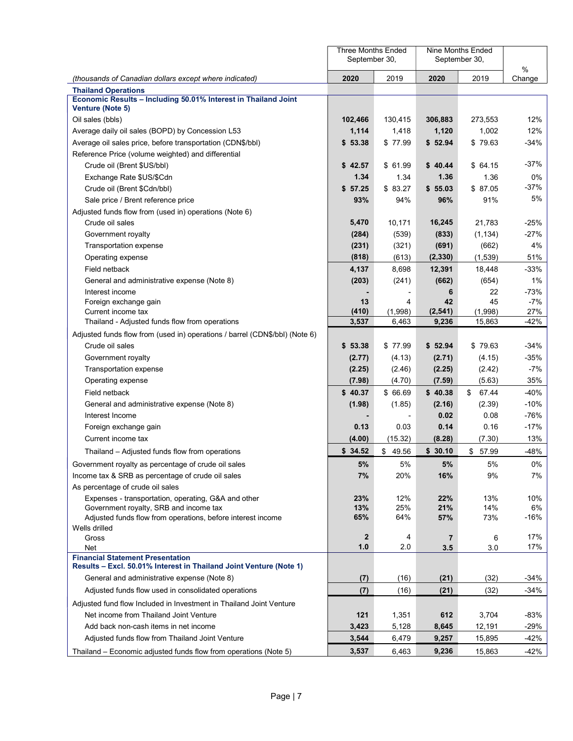|                                                                                                               | <b>Three Months Ended</b><br>September 30, |              |                | Nine Months Ended<br>September 30, |                |
|---------------------------------------------------------------------------------------------------------------|--------------------------------------------|--------------|----------------|------------------------------------|----------------|
| (thousands of Canadian dollars except where indicated)                                                        | 2020                                       | 2019         | 2020           | 2019                               | $\%$<br>Change |
| <b>Thailand Operations</b>                                                                                    |                                            |              |                |                                    |                |
| Economic Results - Including 50.01% Interest in Thailand Joint<br>Venture (Note 5)                            |                                            |              |                |                                    |                |
| Oil sales (bbls)                                                                                              | 102,466                                    | 130,415      | 306,883        | 273,553                            | 12%            |
| Average daily oil sales (BOPD) by Concession L53                                                              | 1,114                                      | 1,418        | 1,120          | 1,002                              | 12%            |
| Average oil sales price, before transportation (CDN\$/bbl)                                                    | \$53.38                                    | \$77.99      | \$52.94        | \$79.63                            | $-34%$         |
| Reference Price (volume weighted) and differential                                                            |                                            |              |                |                                    |                |
| Crude oil (Brent \$US/bbl)                                                                                    | \$42.57                                    | \$61.99      | \$40.44        | \$ 64.15                           | $-37%$         |
| Exchange Rate \$US/\$Cdn                                                                                      | 1.34                                       | 1.34         | 1.36           | 1.36                               | 0%             |
| Crude oil (Brent \$Cdn/bbl)                                                                                   | \$57.25                                    | \$83.27      | \$55.03        | \$87.05                            | -37%           |
| Sale price / Brent reference price                                                                            | 93%                                        | 94%          | 96%            | 91%                                | 5%             |
| Adjusted funds flow from (used in) operations (Note 6)                                                        |                                            |              |                |                                    |                |
| Crude oil sales                                                                                               | 5,470                                      | 10,171       | 16,245         | 21,783                             | $-25%$         |
| Government royalty                                                                                            | (284)                                      | (539)        | (833)          | (1, 134)                           | -27%           |
| Transportation expense                                                                                        | (231)                                      | (321)        | (691)          | (662)                              | 4%             |
| Operating expense                                                                                             | (818)                                      | (613)        | (2, 330)       | (1,539)                            | 51%            |
| Field netback                                                                                                 | 4,137                                      | 8,698        | 12,391         | 18,448                             | $-33%$         |
| General and administrative expense (Note 8)                                                                   | (203)                                      | (241)        | (662)          | (654)                              | 1%             |
| Interest income                                                                                               |                                            |              | 6              | 22                                 | $-73%$         |
| Foreign exchange gain<br>Current income tax                                                                   | 13<br>(410)                                | 4<br>(1,998) | 42<br>(2, 541) | 45<br>(1,998)                      | $-7%$<br>27%   |
| Thailand - Adjusted funds flow from operations                                                                | 3,537                                      | 6,463        | 9,236          | 15,863                             | -42%           |
| Adjusted funds flow from (used in) operations / barrel (CDN\$/bbl) (Note 6)                                   |                                            |              |                |                                    |                |
| Crude oil sales                                                                                               | \$53.38                                    | \$77.99      | \$52.94        | \$79.63                            | $-34%$         |
| Government royalty                                                                                            | (2.77)                                     | (4.13)       | (2.71)         | (4.15)                             | $-35%$         |
| <b>Transportation expense</b>                                                                                 | (2.25)                                     | (2.46)       | (2.25)         | (2.42)                             | $-7%$          |
| Operating expense                                                                                             | (7.98)                                     | (4.70)       | (7.59)         | (5.63)                             | 35%            |
| Field netback                                                                                                 | \$40.37                                    | \$ 66.69     | \$40.38        | \$67.44                            | $-40%$         |
| General and administrative expense (Note 8)                                                                   | (1.98)                                     | (1.85)       | (2.16)         | (2.39)                             | $-10%$         |
| Interest Income                                                                                               |                                            |              | 0.02           | 0.08                               | -76%           |
| Foreign exchange gain                                                                                         | 0.13                                       | 0.03         | 0.14           | 0.16                               | $-17%$         |
| Current income tax                                                                                            | (4.00)                                     | (15.32)      | (8.28)         | (7.30)                             | 13%            |
| Thailand – Adjusted funds flow from operations                                                                | \$34.52                                    | \$49.56      | \$30.10        | \$57.99                            | $-48%$         |
| Government royalty as percentage of crude oil sales                                                           | 5%                                         | 5%           | 5%             | 5%                                 | $0\%$          |
| Income tax & SRB as percentage of crude oil sales                                                             | 7%                                         | 20%          | 16%            | 9%                                 | 7%             |
| As percentage of crude oil sales                                                                              |                                            |              |                |                                    |                |
| Expenses - transportation, operating, G&A and other                                                           | 23%                                        | 12%          | 22%            | 13%                                | 10%            |
| Government royalty, SRB and income tax                                                                        | 13%                                        | 25%          | 21%            | 14%                                | 6%             |
| Adjusted funds flow from operations, before interest income                                                   | 65%                                        | 64%          | 57%            | 73%                                | $-16%$         |
| Wells drilled<br>Gross                                                                                        | $\mathbf{2}$                               | 4            | 7              | 6                                  | 17%            |
| Net                                                                                                           | 1.0                                        | 2.0          | 3.5            | 3.0                                | 17%            |
| <b>Financial Statement Presentation</b><br>Results - Excl. 50.01% Interest in Thailand Joint Venture (Note 1) |                                            |              |                |                                    |                |
| General and administrative expense (Note 8)                                                                   | (7)                                        | (16)         | (21)           | (32)                               | -34%           |
| Adjusted funds flow used in consolidated operations                                                           | (7)                                        | (16)         | (21)           | (32)                               | $-34%$         |
| Adjusted fund flow Included in Investment in Thailand Joint Venture                                           |                                            |              |                |                                    |                |
| Net income from Thailand Joint Venture                                                                        | 121                                        | 1,351        | 612            | 3,704                              | $-83%$         |
| Add back non-cash items in net income                                                                         | 3,423                                      | 5,128        | 8,645          | 12,191                             | $-29%$         |
| Adjusted funds flow from Thailand Joint Venture                                                               | 3,544                                      | 6,479        | 9,257          | 15,895                             | -42%           |
| Thailand - Economic adjusted funds flow from operations (Note 5)                                              | 3,537                                      | 6,463        | 9,236          | 15,863                             | $-42%$         |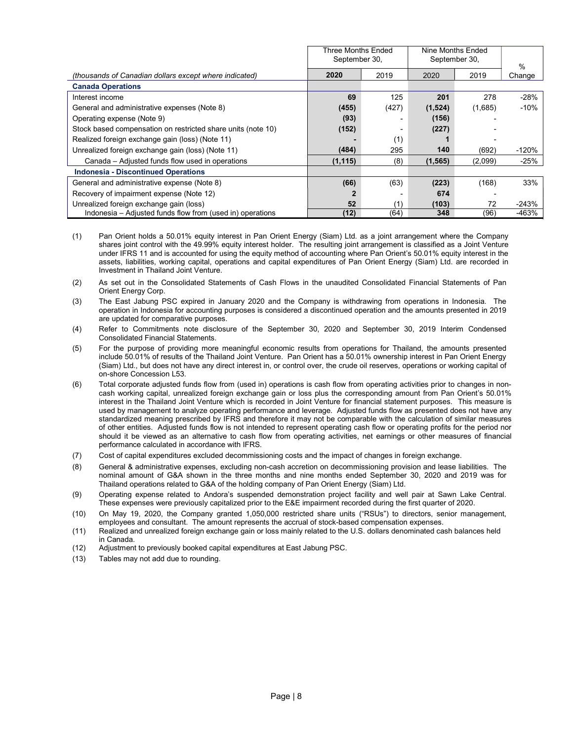|                                                              | Three Months Ended<br>September 30, |       | Nine Months Ended<br>September 30, |         |         |
|--------------------------------------------------------------|-------------------------------------|-------|------------------------------------|---------|---------|
|                                                              |                                     |       |                                    | %       |         |
| (thousands of Canadian dollars except where indicated)       | 2020                                | 2019  | 2020                               | 2019    | Change  |
| <b>Canada Operations</b>                                     |                                     |       |                                    |         |         |
| Interest income                                              | 69                                  | 125   | 201                                | 278     | $-28%$  |
| General and administrative expenses (Note 8)                 | (455)                               | (427) | (1,524)                            | (1,685) | $-10%$  |
| Operating expense (Note 9)                                   | (93)                                |       | (156)                              |         |         |
| Stock based compensation on restricted share units (note 10) | (152)                               | -     | (227)                              |         |         |
| Realized foreign exchange gain (loss) (Note 11)              |                                     | (1)   |                                    |         |         |
| Unrealized foreign exchange gain (loss) (Note 11)            | (484)                               | 295   | 140                                | (692)   | $-120%$ |
| Canada – Adiusted funds flow used in operations              | (1, 115)                            | (8)   | (1, 565)                           | (2,099) | $-25%$  |
| <b>Indonesia - Discontinued Operations</b>                   |                                     |       |                                    |         |         |
| General and administrative expense (Note 8)                  | (66)                                | (63)  | (223)                              | (168)   | 33%     |
| Recovery of impairment expense (Note 12)                     |                                     |       | 674                                |         |         |
| Unrealized foreign exchange gain (loss)                      | 52                                  | (1)   | (103)                              | 72      | $-243%$ |
| Indonesia – Adjusted funds flow from (used in) operations    | (12)                                | (64)  | 348                                | (96)    | -463%   |

- (1) Pan Orient holds a 50.01% equity interest in Pan Orient Energy (Siam) Ltd. as a joint arrangement where the Company shares joint control with the 49.99% equity interest holder. The resulting joint arrangement is classified as a Joint Venture under IFRS 11 and is accounted for using the equity method of accounting where Pan Orient's 50.01% equity interest in the assets, liabilities, working capital, operations and capital expenditures of Pan Orient Energy (Siam) Ltd. are recorded in Investment in Thailand Joint Venture.
- (2) As set out in the Consolidated Statements of Cash Flows in the unaudited Consolidated Financial Statements of Pan Orient Energy Corp.
- (3) The East Jabung PSC expired in January 2020 and the Company is withdrawing from operations in Indonesia. The operation in Indonesia for accounting purposes is considered a discontinued operation and the amounts presented in 2019 are updated for comparative purposes.
- (4) Refer to Commitments note disclosure of the September 30, 2020 and September 30, 2019 Interim Condensed Consolidated Financial Statements.
- (5) For the purpose of providing more meaningful economic results from operations for Thailand, the amounts presented include 50.01% of results of the Thailand Joint Venture. Pan Orient has a 50.01% ownership interest in Pan Orient Energy (Siam) Ltd., but does not have any direct interest in, or control over, the crude oil reserves, operations or working capital of on-shore Concession L53.
- (6) Total corporate adjusted funds flow from (used in) operations is cash flow from operating activities prior to changes in noncash working capital, unrealized foreign exchange gain or loss plus the corresponding amount from Pan Orient's 50.01% interest in the Thailand Joint Venture which is recorded in Joint Venture for financial statement purposes. This measure is used by management to analyze operating performance and leverage. Adjusted funds flow as presented does not have any standardized meaning prescribed by IFRS and therefore it may not be comparable with the calculation of similar measures of other entities. Adjusted funds flow is not intended to represent operating cash flow or operating profits for the period nor should it be viewed as an alternative to cash flow from operating activities, net earnings or other measures of financial performance calculated in accordance with IFRS.
- (7) Cost of capital expenditures excluded decommissioning costs and the impact of changes in foreign exchange.
- (8) General & administrative expenses, excluding non-cash accretion on decommissioning provision and lease liabilities. The nominal amount of G&A shown in the three months and nine months ended September 30, 2020 and 2019 was for Thailand operations related to G&A of the holding company of Pan Orient Energy (Siam) Ltd.
- (9) Operating expense related to Andora's suspended demonstration project facility and well pair at Sawn Lake Central. These expenses were previously capitalized prior to the E&E impairment recorded during the first quarter of 2020.
- (10) On May 19, 2020, the Company granted 1,050,000 restricted share units ("RSUs") to directors, senior management, employees and consultant. The amount represents the accrual of stock-based compensation expenses.
- (11) Realized and unrealized foreign exchange gain or loss mainly related to the U.S. dollars denominated cash balances held in Canada.
- (12) Adjustment to previously booked capital expenditures at East Jabung PSC.
- (13) Tables may not add due to rounding.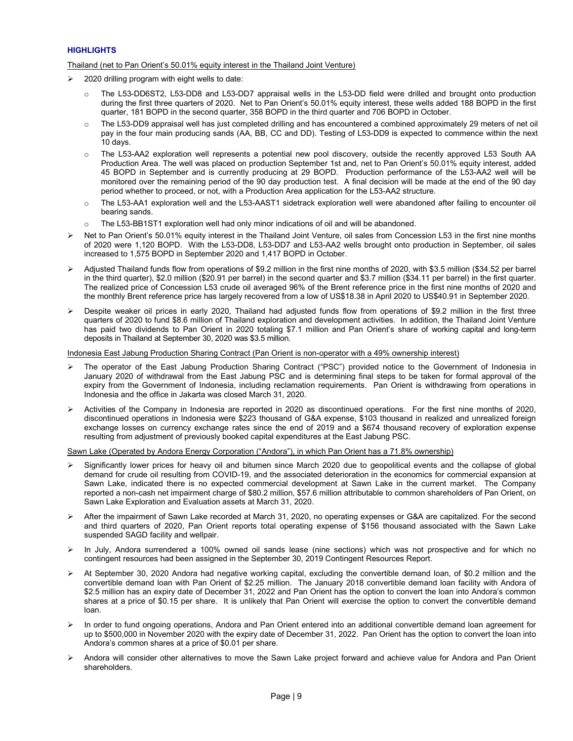# **HIGHLIGHTS**

# Thailand (net to Pan Orient's 50.01% equity interest in the Thailand Joint Venture)

- $\geq$  2020 drilling program with eight wells to date:
	- o The L53-DD6ST2, L53-DD8 and L53-DD7 appraisal wells in the L53-DD field were drilled and brought onto production during the first three quarters of 2020. Net to Pan Orient's 50.01% equity interest, these wells added 188 BOPD in the first quarter, 181 BOPD in the second quarter, 358 BOPD in the third quarter and 706 BOPD in October.
	- $\circ$  The L53-DD9 appraisal well has just completed drilling and has encountered a combined approximately 29 meters of net oil pay in the four main producing sands (AA, BB, CC and DD). Testing of L53-DD9 is expected to commence within the next 10 days.
	- o The L53-AA2 exploration well represents a potential new pool discovery, outside the recently approved L53 South AA Production Area. The well was placed on production September 1st and, net to Pan Orient's 50.01% equity interest, added 45 BOPD in September and is currently producing at 29 BOPD. Production performance of the L53-AA2 well will be monitored over the remaining period of the 90 day production test. A final decision will be made at the end of the 90 day period whether to proceed, or not, with a Production Area application for the L53-AA2 structure.
	- o The L53-AA1 exploration well and the L53-AAST1 sidetrack exploration well were abandoned after failing to encounter oil bearing sands.
	- $\circ$  The L53-BB1ST1 exploration well had only minor indications of oil and will be abandoned.
- ▶ Net to Pan Orient's 50.01% equity interest in the Thailand Joint Venture, oil sales from Concession L53 in the first nine months of 2020 were 1,120 BOPD. With the L53-DD8, L53-DD7 and L53-AA2 wells brought onto production in September, oil sales increased to 1,575 BOPD in September 2020 and 1,417 BOPD in October.
- Adjusted Thailand funds flow from operations of \$9.2 million in the first nine months of 2020, with \$3.5 million (\$34.52 per barrel in the third quarter), \$2.0 million (\$20.91 per barrel) in the second quarter and \$3.7 million (\$34.11 per barrel) in the first quarter. The realized price of Concession L53 crude oil averaged 96% of the Brent reference price in the first nine months of 2020 and the monthly Brent reference price has largely recovered from a low of US\$18.38 in April 2020 to US\$40.91 in September 2020.
- Despite weaker oil prices in early 2020, Thailand had adjusted funds flow from operations of \$9.2 million in the first three quarters of 2020 to fund \$8.6 million of Thailand exploration and development activities. In addition, the Thailand Joint Venture has paid two dividends to Pan Orient in 2020 totaling \$7.1 million and Pan Orient's share of working capital and long-term deposits in Thailand at September 30, 2020 was \$3.5 million.

Indonesia East Jabung Production Sharing Contract (Pan Orient is non-operator with a 49% ownership interest)

- > The operator of the East Jabung Production Sharing Contract ("PSC") provided notice to the Government of Indonesia in January 2020 of withdrawal from the East Jabung PSC and is determining final steps to be taken for formal approval of the expiry from the Government of Indonesia, including reclamation requirements. Pan Orient is withdrawing from operations in Indonesia and the office in Jakarta was closed March 31, 2020.
- Activities of the Company in Indonesia are reported in 2020 as discontinued operations. For the first nine months of 2020, discontinued operations in Indonesia were \$223 thousand of G&A expense, \$103 thousand in realized and unrealized foreign exchange losses on currency exchange rates since the end of 2019 and a \$674 thousand recovery of exploration expense resulting from adjustment of previously booked capital expenditures at the East Jabung PSC.

Sawn Lake (Operated by Andora Energy Corporation ("Andora"), in which Pan Orient has a 71.8% ownership)

- Significantly lower prices for heavy oil and bitumen since March 2020 due to geopolitical events and the collapse of global demand for crude oil resulting from COVID-19, and the associated deterioration in the economics for commercial expansion at Sawn Lake, indicated there is no expected commercial development at Sawn Lake in the current market. The Company reported a non-cash net impairment charge of \$80.2 million, \$57.6 million attributable to common shareholders of Pan Orient, on Sawn Lake Exploration and Evaluation assets at March 31, 2020.
- After the impairment of Sawn Lake recorded at March 31, 2020, no operating expenses or G&A are capitalized. For the second and third quarters of 2020, Pan Orient reports total operating expense of \$156 thousand associated with the Sawn Lake suspended SAGD facility and wellpair.
- In July, Andora surrendered a 100% owned oil sands lease (nine sections) which was not prospective and for which no contingent resources had been assigned in the September 30, 2019 Contingent Resources Report.
- $\triangleright$  At September 30, 2020 Andora had negative working capital, excluding the convertible demand loan, of \$0.2 million and the convertible demand loan with Pan Orient of \$2.25 million. The January 2018 convertible demand loan facility with Andora of \$2.5 million has an expiry date of December 31, 2022 and Pan Orient has the option to convert the loan into Andora's common shares at a price of \$0.15 per share. It is unlikely that Pan Orient will exercise the option to convert the convertible demand loan.
- In order to fund ongoing operations, Andora and Pan Orient entered into an additional convertible demand loan agreement for up to \$500,000 in November 2020 with the expiry date of December 31, 2022. Pan Orient has the option to convert the loan into Andora's common shares at a price of \$0.01 per share.
- Andora will consider other alternatives to move the Sawn Lake project forward and achieve value for Andora and Pan Orient shareholders.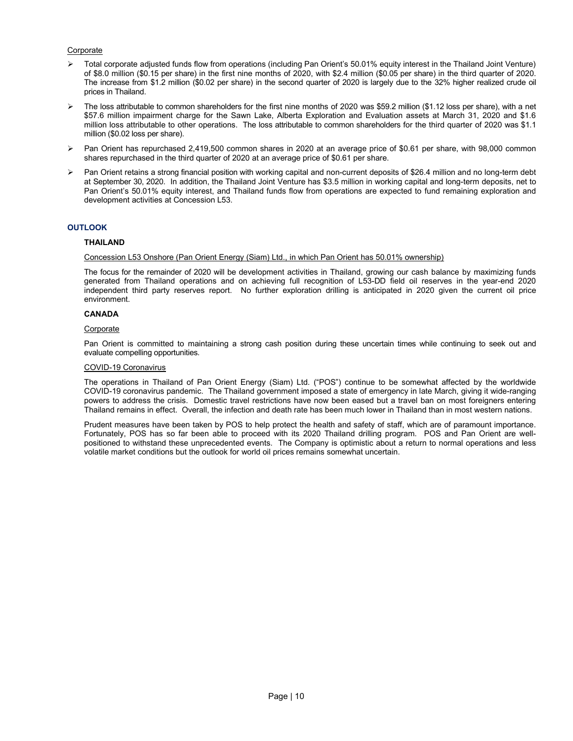# Corporate

- Total corporate adjusted funds flow from operations (including Pan Orient's 50.01% equity interest in the Thailand Joint Venture) of \$8.0 million (\$0.15 per share) in the first nine months of 2020, with \$2.4 million (\$0.05 per share) in the third quarter of 2020. The increase from \$1.2 million (\$0.02 per share) in the second quarter of 2020 is largely due to the 32% higher realized crude oil prices in Thailand.
- The loss attributable to common shareholders for the first nine months of 2020 was \$59.2 million (\$1.12 loss per share), with a net \$57.6 million impairment charge for the Sawn Lake, Alberta Exploration and Evaluation assets at March 31, 2020 and \$1.6 million loss attributable to other operations. The loss attributable to common shareholders for the third quarter of 2020 was \$1.1 million (\$0.02 loss per share).
- $\triangleright$  Pan Orient has repurchased 2,419,500 common shares in 2020 at an average price of \$0.61 per share, with 98,000 common shares repurchased in the third quarter of 2020 at an average price of \$0.61 per share.
- Pan Orient retains a strong financial position with working capital and non-current deposits of \$26.4 million and no long-term debt at September 30, 2020. In addition, the Thailand Joint Venture has \$3.5 million in working capital and long-term deposits, net to Pan Orient's 50.01% equity interest, and Thailand funds flow from operations are expected to fund remaining exploration and development activities at Concession L53.

# **OUTLOOK**

# THAILAND

# Concession L53 Onshore (Pan Orient Energy (Siam) Ltd., in which Pan Orient has 50.01% ownership)

The focus for the remainder of 2020 will be development activities in Thailand, growing our cash balance by maximizing funds generated from Thailand operations and on achieving full recognition of L53-DD field oil reserves in the year-end 2020 independent third party reserves report. No further exploration drilling is anticipated in 2020 given the current oil price environment.

# CANADA

#### Corporate

Pan Orient is committed to maintaining a strong cash position during these uncertain times while continuing to seek out and evaluate compelling opportunities.

## COVID-19 Coronavirus

The operations in Thailand of Pan Orient Energy (Siam) Ltd. ("POS") continue to be somewhat affected by the worldwide COVID-19 coronavirus pandemic. The Thailand government imposed a state of emergency in late March, giving it wide-ranging powers to address the crisis. Domestic travel restrictions have now been eased but a travel ban on most foreigners entering Thailand remains in effect. Overall, the infection and death rate has been much lower in Thailand than in most western nations.

Prudent measures have been taken by POS to help protect the health and safety of staff, which are of paramount importance. Fortunately, POS has so far been able to proceed with its 2020 Thailand drilling program. POS and Pan Orient are wellpositioned to withstand these unprecedented events. The Company is optimistic about a return to normal operations and less volatile market conditions but the outlook for world oil prices remains somewhat uncertain.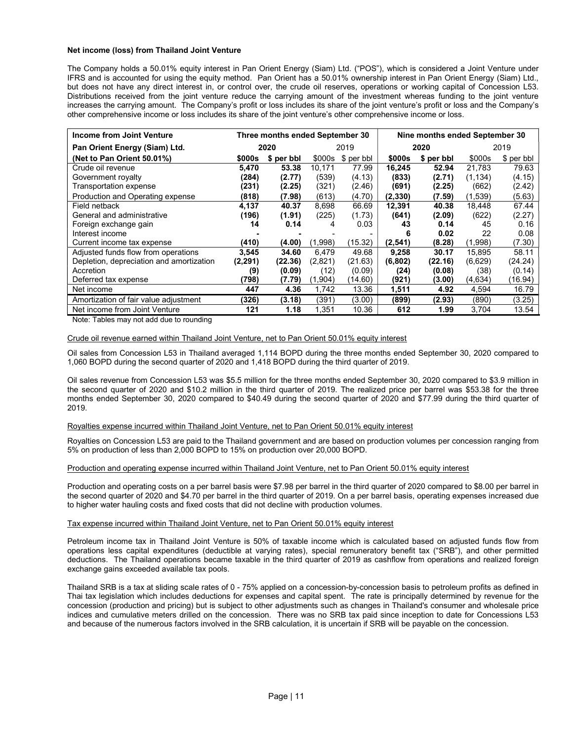# Net income (loss) from Thailand Joint Venture

The Company holds a 50.01% equity interest in Pan Orient Energy (Siam) Ltd. ("POS"), which is considered a Joint Venture under IFRS and is accounted for using the equity method. Pan Orient has a 50.01% ownership interest in Pan Orient Energy (Siam) Ltd., but does not have any direct interest in, or control over, the crude oil reserves, operations or working capital of Concession L53. Distributions received from the joint venture reduce the carrying amount of the investment whereas funding to the joint venture increases the carrying amount. The Company's profit or loss includes its share of the joint venture's profit or loss and the Company's other comprehensive income or loss includes its share of the joint venture's other comprehensive income or loss.

| Income from Joint Venture                |               | Three months ended September 30 |         |            |          | Nine months ended September 30 |          |            |  |  |
|------------------------------------------|---------------|---------------------------------|---------|------------|----------|--------------------------------|----------|------------|--|--|
| Pan Orient Energy (Siam) Ltd.            |               | 2020                            |         | 2019       |          | 2020                           | 2019     |            |  |  |
| (Net to Pan Orient 50.01%)               | <b>\$000s</b> | \$ per bbl                      | \$000s  | \$ per bbl | \$000s   | \$ per bbl                     | \$000s   | \$ per bbl |  |  |
| Crude oil revenue                        | 5.470         | 53.38                           | 10.171  | 77.99      | 16,245   | 52.94                          | 21.783   | 79.63      |  |  |
| Government royalty                       | (284)         | (2.77)                          | (539)   | (4.13)     | (833)    | (2.71)                         | (1, 134) | (4.15)     |  |  |
| Transportation expense                   | (231)         | (2.25)                          | (321)   | (2.46)     | (691)    | (2.25)                         | (662)    | (2.42)     |  |  |
| Production and Operating expense         | (818)         | (7.98)                          | (613)   | (4.70)     | (2,330)  | (7.59)                         | (1,539)  | (5.63)     |  |  |
| Field netback                            | 4.137         | 40.37                           | 8.698   | 66.69      | 12,391   | 40.38                          | 18.448   | 67.44      |  |  |
| General and administrative               | (196)         | (1.91)                          | (225)   | (1.73)     | (641)    | (2.09)                         | (622)    | (2.27)     |  |  |
| Foreign exchange gain                    | 14            | 0.14                            | 4       | 0.03       | 43       | 0.14                           | 45       | 0.16       |  |  |
| Interest income                          |               |                                 |         |            |          | 0.02                           | 22       | 0.08       |  |  |
| Current income tax expense               | (410)         | (4.00)                          | (1,998) | (15.32)    | (2, 541) | (8.28)                         | (1,998)  | (7.30)     |  |  |
| Adjusted funds flow from operations      | 3,545         | 34.60                           | 6,479   | 49.68      | 9,258    | 30.17                          | 15,895   | 58.11      |  |  |
| Depletion, depreciation and amortization | (2,291)       | (22.36)                         | (2,821) | (21.63)    | (6, 802) | (22.16)                        | (6,629)  | (24.24)    |  |  |
| Accretion                                | (9)           | (0.09)                          | (12)    | (0.09)     | (24)     | (0.08)                         | (38)     | (0.14)     |  |  |
| Deferred tax expense                     | (798)         | (7.79)                          | (1,904) | (14.60)    | (921)    | (3.00)                         | (4,634)  | (16.94)    |  |  |
| Net income                               | 447           | 4.36                            | 1,742   | 13.36      | 1,511    | 4.92                           | 4,594    | 16.79      |  |  |
| Amortization of fair value adjustment    | (326)         | (3.18)                          | (391)   | (3.00)     | (899)    | (2.93)                         | (890)    | (3.25)     |  |  |
| Net income from Joint Venture            | 121           | 1.18                            | 1.351   | 10.36      | 612      | 1.99                           | 3.704    | 13.54      |  |  |

Note: Tables may not add due to rounding

# Crude oil revenue earned within Thailand Joint Venture, net to Pan Orient 50.01% equity interest

Oil sales from Concession L53 in Thailand averaged 1,114 BOPD during the three months ended September 30, 2020 compared to 1,060 BOPD during the second quarter of 2020 and 1,418 BOPD during the third quarter of 2019.

Oil sales revenue from Concession L53 was \$5.5 million for the three months ended September 30, 2020 compared to \$3.9 million in the second quarter of 2020 and \$10.2 million in the third quarter of 2019. The realized price per barrel was \$53.38 for the three months ended September 30, 2020 compared to \$40.49 during the second quarter of 2020 and \$77.99 during the third quarter of 2019.

# Royalties expense incurred within Thailand Joint Venture, net to Pan Orient 50.01% equity interest

Royalties on Concession L53 are paid to the Thailand government and are based on production volumes per concession ranging from 5% on production of less than 2,000 BOPD to 15% on production over 20,000 BOPD.

# Production and operating expense incurred within Thailand Joint Venture, net to Pan Orient 50.01% equity interest

Production and operating costs on a per barrel basis were \$7.98 per barrel in the third quarter of 2020 compared to \$8.00 per barrel in the second quarter of 2020 and \$4.70 per barrel in the third quarter of 2019. On a per barrel basis, operating expenses increased due to higher water hauling costs and fixed costs that did not decline with production volumes.

#### Tax expense incurred within Thailand Joint Venture, net to Pan Orient 50.01% equity interest

Petroleum income tax in Thailand Joint Venture is 50% of taxable income which is calculated based on adjusted funds flow from operations less capital expenditures (deductible at varying rates), special remuneratory benefit tax ("SRB"), and other permitted deductions. The Thailand operations became taxable in the third quarter of 2019 as cashflow from operations and realized foreign exchange gains exceeded available tax pools.

Thailand SRB is a tax at sliding scale rates of 0 - 75% applied on a concession-by-concession basis to petroleum profits as defined in Thai tax legislation which includes deductions for expenses and capital spent. The rate is principally determined by revenue for the concession (production and pricing) but is subject to other adjustments such as changes in Thailand's consumer and wholesale price indices and cumulative meters drilled on the concession. There was no SRB tax paid since inception to date for Concessions L53 and because of the numerous factors involved in the SRB calculation, it is uncertain if SRB will be payable on the concession.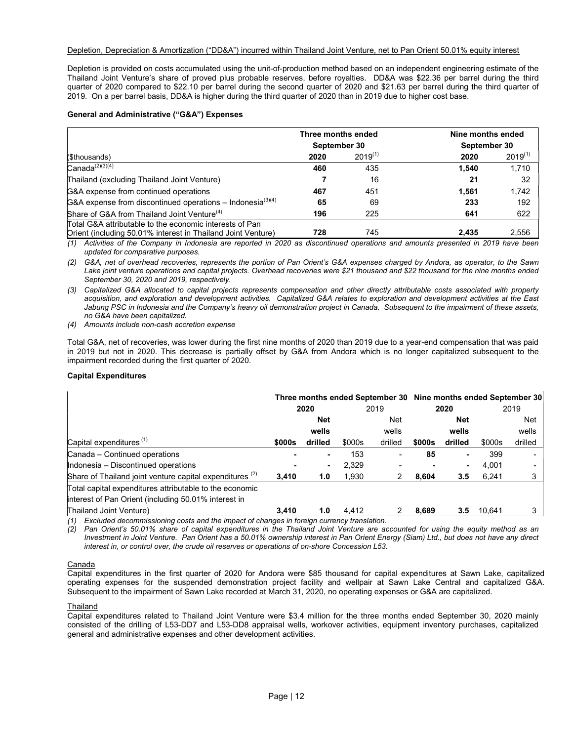# Depletion, Depreciation & Amortization ("DD&A") incurred within Thailand Joint Venture, net to Pan Orient 50.01% equity interest

Depletion is provided on costs accumulated using the unit-of-production method based on an independent engineering estimate of the Thailand Joint Venture's share of proved plus probable reserves, before royalties. DD&A was \$22.36 per barrel during the third quarter of 2020 compared to \$22.10 per barrel during the second quarter of 2020 and \$21.63 per barrel during the third quarter of 2019. On a per barrel basis, DD&A is higher during the third quarter of 2020 than in 2019 due to higher cost base.

# General and Administrative ("G&A") Expenses

|                                                                  | Three months ended |              | Nine months ended |              |  |  |
|------------------------------------------------------------------|--------------------|--------------|-------------------|--------------|--|--|
|                                                                  | September 30       |              |                   | September 30 |  |  |
| (\$thousands)                                                    | 2020               | $2019^{(1)}$ | 2020              | $2019^{(1)}$ |  |  |
| $Canada^{(2)(3)(4)}$                                             | 460                | 435          | 1.540             | 1,710        |  |  |
| Thailand (excluding Thailand Joint Venture)                      |                    | 16           | 21                | 32           |  |  |
| G&A expense from continued operations                            | 467                | 451          | 1.561             | 1.742        |  |  |
| G&A expense from discontinued operations – Indonesia $^{(3)(4)}$ | 65                 | 69           | 233               | 192          |  |  |
| Share of G&A from Thailand Joint Venture <sup>(4)</sup>          | 196                | 225          | 641               | 622          |  |  |
| Total G&A attributable to the economic interests of Pan          |                    |              |                   |              |  |  |
| Orient (including 50.01% interest in Thailand Joint Venture)     | 728                | 745          | 2.435             | 2.556        |  |  |

(1) Activities of the Company in Indonesia are reported in 2020 as discontinued operations and amounts presented in 2019 have been updated for comparative purposes.

(2) G&A, net of overhead recoveries, represents the portion of Pan Orient's G&A expenses charged by Andora, as operator, to the Sawn Lake joint venture operations and capital projects. Overhead recoveries were \$21 thousand and \$22 thousand for the nine months ended September 30, 2020 and 2019, respectively.

(3) Capitalized G&A allocated to capital projects represents compensation and other directly attributable costs associated with property acquisition, and exploration and development activities. Capitalized G&A relates to exploration and development activities at the East Jabung PSC in Indonesia and the Company's heavy oil demonstration project in Canada. Subsequent to the impairment of these assets, no G&A have been capitalized.

(4) Amounts include non-cash accretion expense

Total G&A, net of recoveries, was lower during the first nine months of 2020 than 2019 due to a year-end compensation that was paid in 2019 but not in 2020. This decrease is partially offset by G&A from Andora which is no longer capitalized subsequent to the impairment recorded during the first quarter of 2020.

# Capital Expenditures

|                                                          | Three months ended September 30 Nine months ended September 30 |         |        |         |        |            |        |         |
|----------------------------------------------------------|----------------------------------------------------------------|---------|--------|---------|--------|------------|--------|---------|
|                                                          | 2020                                                           |         | 2019   |         | 2020   |            | 2019   |         |
|                                                          | <b>Net</b>                                                     |         |        | Net     |        | <b>Net</b> |        | Net     |
|                                                          |                                                                | wells   |        | wells   |        | wells      |        | wells   |
| Capital expenditures <sup>(1)</sup>                      | \$000s                                                         | drilled | \$000s | drilled | \$000s | drilled    | \$000s | drilled |
| Canada - Continued operations                            |                                                                |         | 153    |         | 85     |            | 399    |         |
| Indonesia - Discontinued operations                      |                                                                | ۰       | 2,329  |         |        | ۰          | 4.001  |         |
| Share of Thailand joint venture capital expenditures (2) | 3,410                                                          | 1.0     | 1,930  |         | 8,604  | 3.5        | 6,241  | 3       |
| Total capital expenditures attributable to the economic  |                                                                |         |        |         |        |            |        |         |
| interest of Pan Orient (including 50.01% interest in     |                                                                |         |        |         |        |            |        |         |
| Thailand Joint Venture)<br>.                             | 3.410                                                          | 1.0     | 4,412  |         | 8,689  | 3.5        | 10.641 | 3       |

(1) Excluded decommissioning costs and the impact of changes in foreign currency translation.

(2) Pan Orient's 50.01% share of capital expenditures in the Thailand Joint Venture are accounted for using the equity method as an Investment in Joint Venture. Pan Orient has a 50.01% ownership interest in Pan Orient Energy (Siam) Ltd., but does not have any direct interest in, or control over, the crude oil reserves or operations of on-shore Concession L53.

# **Canada**

Capital expenditures in the first quarter of 2020 for Andora were \$85 thousand for capital expenditures at Sawn Lake, capitalized operating expenses for the suspended demonstration project facility and wellpair at Sawn Lake Central and capitalized G&A. Subsequent to the impairment of Sawn Lake recorded at March 31, 2020, no operating expenses or G&A are capitalized.

# Thailand

Capital expenditures related to Thailand Joint Venture were \$3.4 million for the three months ended September 30, 2020 mainly consisted of the drilling of L53-DD7 and L53-DD8 appraisal wells, workover activities, equipment inventory purchases, capitalized general and administrative expenses and other development activities.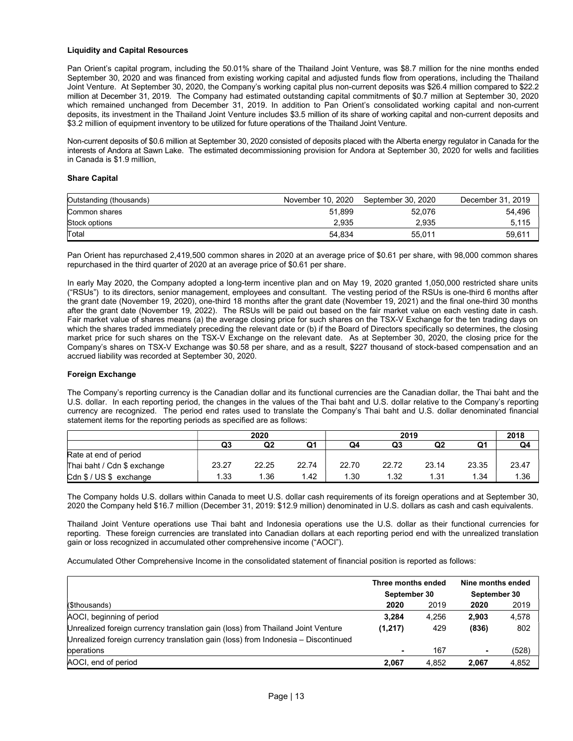# Liquidity and Capital Resources

Pan Orient's capital program, including the 50.01% share of the Thailand Joint Venture, was \$8.7 million for the nine months ended September 30, 2020 and was financed from existing working capital and adjusted funds flow from operations, including the Thailand Joint Venture. At September 30, 2020, the Company's working capital plus non-current deposits was \$26.4 million compared to \$22.2 million at December 31, 2019. The Company had estimated outstanding capital commitments of \$0.7 million at September 30, 2020 which remained unchanged from December 31, 2019. In addition to Pan Orient's consolidated working capital and non-current deposits, its investment in the Thailand Joint Venture includes \$3.5 million of its share of working capital and non-current deposits and \$3.2 million of equipment inventory to be utilized for future operations of the Thailand Joint Venture.

Non-current deposits of \$0.6 million at September 30, 2020 consisted of deposits placed with the Alberta energy regulator in Canada for the interests of Andora at Sawn Lake. The estimated decommissioning provision for Andora at September 30, 2020 for wells and facilities in Canada is \$1.9 million,

# Share Capital

| Outstanding (thousands) | November 10, 2020 | September 30, 2020 | December 31, 2019 |
|-------------------------|-------------------|--------------------|-------------------|
| Common shares           | 51.899            | 52.076             | 54,496            |
| Stock options           | 2.935             | 2.935              | 5,115             |
| Total                   | 54.834            | 55.011             | 59,611            |

Pan Orient has repurchased 2,419,500 common shares in 2020 at an average price of \$0.61 per share, with 98,000 common shares repurchased in the third quarter of 2020 at an average price of \$0.61 per share.

In early May 2020, the Company adopted a long-term incentive plan and on May 19, 2020 granted 1,050,000 restricted share units ("RSUs") to its directors, senior management, employees and consultant. The vesting period of the RSUs is one-third 6 months after the grant date (November 19, 2020), one-third 18 months after the grant date (November 19, 2021) and the final one-third 30 months after the grant date (November 19, 2022). The RSUs will be paid out based on the fair market value on each vesting date in cash. Fair market value of shares means (a) the average closing price for such shares on the TSX-V Exchange for the ten trading days on which the shares traded immediately preceding the relevant date or (b) if the Board of Directors specifically so determines, the closing market price for such shares on the TSX-V Exchange on the relevant date. As at September 30, 2020, the closing price for the Company's shares on TSX-V Exchange was \$0.58 per share, and as a result, \$227 thousand of stock-based compensation and an accrued liability was recorded at September 30, 2020.

# Foreign Exchange

The Company's reporting currency is the Canadian dollar and its functional currencies are the Canadian dollar, the Thai baht and the U.S. dollar. In each reporting period, the changes in the values of the Thai baht and U.S. dollar relative to the Company's reporting currency are recognized. The period end rates used to translate the Company's Thai baht and U.S. dollar denominated financial statement items for the reporting periods as specified are as follows:

|                             | 2020  |       |       | 2019  |       |       |       | 2018  |
|-----------------------------|-------|-------|-------|-------|-------|-------|-------|-------|
|                             | Q3    | Q2    | Q1    | Q4    | Q3    | Q2    | Q1    | Q4    |
| Rate at end of period       |       |       |       |       |       |       |       |       |
| Thai baht / Cdn \$ exchange | 23.27 | 22.25 | 22.74 | 22.70 | 22.72 | 23.14 | 23.35 | 23.47 |
| Cdn $$/US$$ exchange        | 1.33  | 1.36  | 1.42  | 1.30  | 1.32  | 1.31  | 1.34  | 1.36  |

The Company holds U.S. dollars within Canada to meet U.S. dollar cash requirements of its foreign operations and at September 30, 2020 the Company held \$16.7 million (December 31, 2019: \$12.9 million) denominated in U.S. dollars as cash and cash equivalents.

Thailand Joint Venture operations use Thai baht and Indonesia operations use the U.S. dollar as their functional currencies for reporting. These foreign currencies are translated into Canadian dollars at each reporting period end with the unrealized translation gain or loss recognized in accumulated other comprehensive income ("AOCI").

Accumulated Other Comprehensive Income in the consolidated statement of financial position is reported as follows:

|                                                                                     | Three months ended |       | Nine months ended |       |  |
|-------------------------------------------------------------------------------------|--------------------|-------|-------------------|-------|--|
|                                                                                     | September 30       |       | September 30      |       |  |
| (\$thousands)                                                                       | 2020               | 2019  | 2020              | 2019  |  |
| AOCI, beginning of period                                                           | 3.284              | 4.256 | 2.903             | 4,578 |  |
| Unrealized foreign currency translation gain (loss) from Thailand Joint Venture     | (1,217)            | 429   | (836)             | 802   |  |
| Unrealized foreign currency translation gain (loss) from Indonesia $-$ Discontinued |                    |       |                   |       |  |
| operations                                                                          |                    | 167   | $\blacksquare$    | (528) |  |
| AOCI, end of period                                                                 | 2.067              | 4.852 | 2.067             | 4,852 |  |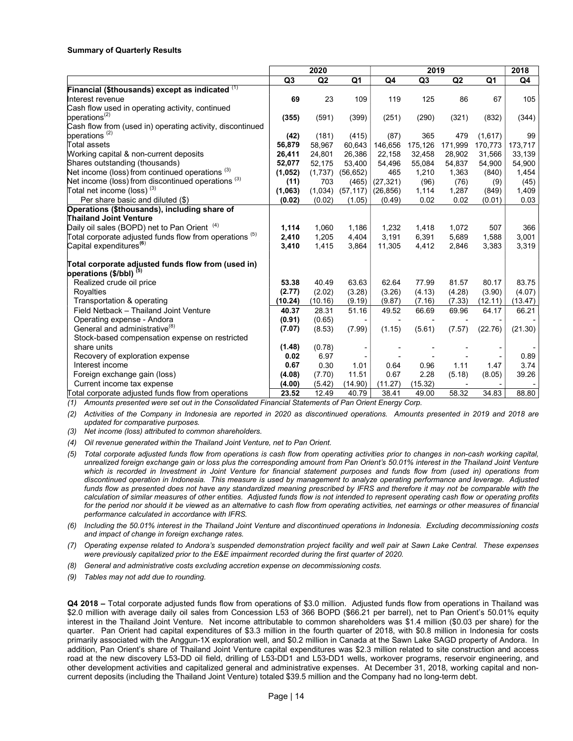# Summary of Quarterly Results

|                                                            |                | 2020    |                |           | 2019           |         |                | 2018    |
|------------------------------------------------------------|----------------|---------|----------------|-----------|----------------|---------|----------------|---------|
|                                                            | Q <sub>3</sub> | Q2      | Q <sub>1</sub> | Q4        | Q <sub>3</sub> | Q2      | Q <sub>1</sub> | Q4      |
| Financial (\$thousands) except as indicated (1)            |                |         |                |           |                |         |                |         |
| Interest revenue                                           | 69             | 23      | 109            | 119       | 125            | 86      | 67             | 105     |
| Cash flow used in operating activity, continued            |                |         |                |           |                |         |                |         |
| operations <sup>(2)</sup>                                  | (355)          | (591)   | (399)          | (251)     | (290)          | (321)   | (832)          | (344)   |
| Cash flow from (used in) operating activity, discontinued  |                |         |                |           |                |         |                |         |
| operations <sup>(2)</sup>                                  | (42)           | (181)   | (415)          | (87)      | 365            | 479     | (1,617)        | 99      |
| Total assets                                               | 56,879         | 58,967  | 60,643         | 146,656   | 175,126        | 171,999 | 170,773        | 173,717 |
| Working capital & non-current deposits                     | 26,411         | 24,801  | 26,386         | 22,158    | 32,458         | 28,902  | 31,566         | 33,139  |
| Shares outstanding (thousands)                             | 52,077         | 52,175  | 53,400         | 54,496    | 55,084         | 54,837  | 54,900         | 54,900  |
| Net income (loss) from continued operations <sup>(3)</sup> | (1,052)        | (1,737) | (56, 652)      | 465       | 1,210          | 1,363   | (840)          | 1,454   |
| Net income (loss) from discontinued operations (3)         | (11)           | 703     | (465)          | (27, 321) | (96)           | (76)    | (9)            | (45)    |
| Total net income (loss) $^{(3)}$                           | (1,063)        | (1,034) | (57, 117)      | (26, 856) | 1,114          | 1,287   | (849)          | 1,409   |
| Per share basic and diluted (\$)                           | (0.02)         | (0.02)  | (1.05)         | (0.49)    | 0.02           | 0.02    | (0.01)         | 0.03    |
| Operations (\$thousands), including share of               |                |         |                |           |                |         |                |         |
| <b>Thailand Joint Venture</b>                              |                |         |                |           |                |         |                |         |
| Daily oil sales (BOPD) net to Pan Orient <sup>(4)</sup>    | 1,114          | 1,060   | 1,186          | 1,232     | 1,418          | 1,072   | 507            | 366     |
| Total corporate adjusted funds flow from operations (5)    | 2,410          | 1,205   | 4,404          | 3,191     | 6,391          | 5,689   | 1,588          | 3,001   |
| Capital expenditures <sup>(6)</sup>                        | 3,410          | 1,415   | 3,864          | 11,305    | 4,412          | 2,846   | 3,383          | 3,319   |
| Total corporate adjusted funds flow from (used in)         |                |         |                |           |                |         |                |         |
| operations (\$/bbl) <sup>(5)</sup>                         |                |         |                |           |                |         |                |         |
| Realized crude oil price                                   | 53.38          | 40.49   | 63.63          | 62.64     | 77.99          | 81.57   | 80.17          | 83.75   |
| Royalties                                                  | (2.77)         | (2.02)  | (3.28)         | (3.26)    | (4.13)         | (4.28)  | (3.90)         | (4.07)  |
| Transportation & operating                                 | (10.24)        | (10.16) | (9.19)         | (9.87)    | (7.16)         | (7.33)  | (12.11)        | (13.47) |
| Field Netback - Thailand Joint Venture                     | 40.37          | 28.31   | 51.16          | 49.52     | 66.69          | 69.96   | 64.17          | 66.21   |
| Operating expense - Andora                                 | (0.91)         | (0.65)  |                |           |                |         |                |         |
| General and administrative <sup>(8)</sup>                  | (7.07)         | (8.53)  | (7.99)         | (1.15)    | (5.61)         | (7.57)  | (22.76)        | (21.30) |
| Stock-based compensation expense on restricted             |                |         |                |           |                |         |                |         |
| share units                                                | (1.48)         | (0.78)  |                |           |                |         |                |         |
| Recovery of exploration expense                            | 0.02           | 6.97    |                |           |                |         |                | 0.89    |
| Interest income                                            | 0.67           | 0.30    | 1.01           | 0.64      | 0.96           | 1.11    | 1.47           | 3.74    |
| Foreign exchange gain (loss)                               | (4.08)         | (7.70)  | 11.51          | 0.67      | 2.28           | (5.18)  | (8.05)         | 39.26   |
| Current income tax expense                                 | (4.00)         | (5.42)  | (14.90)        | (11.27)   | (15.32)        |         |                |         |
| Total corporate adjusted funds flow from operations        | 23.52          | 12.49   | 40.79          | 38.41     | 49.00          | 58.32   | 34.83          | 88.80   |

(1) Amounts presented were set out in the Consolidated Financial Statements of Pan Orient Energy Corp.

(2) Activities of the Company in Indonesia are reported in 2020 as discontinued operations. Amounts presented in 2019 and 2018 are updated for comparative purposes.

(3) Net income (loss) attributed to common shareholders.

(4) Oil revenue generated within the Thailand Joint Venture, net to Pan Orient.

- (5) Total corporate adjusted funds flow from operations is cash flow from operating activities prior to changes in non-cash working capital, unrealized foreign exchange gain or loss plus the corresponding amount from Pan Orient's 50.01% interest in the Thailand Joint Venture which is recorded in Investment in Joint Venture for financial statement purposes and funds flow from (used in) operations from discontinued operation in Indonesia. This measure is used by management to analyze operating performance and leverage. Adjusted funds flow as presented does not have any standardized meaning prescribed by IFRS and therefore it may not be comparable with the calculation of similar measures of other entities. Adjusted funds flow is not intended to represent operating cash flow or operating profits for the period nor should it be viewed as an alternative to cash flow from operating activities, net earnings or other measures of financial performance calculated in accordance with IFRS.
- (6) Including the 50.01% interest in the Thailand Joint Venture and discontinued operations in Indonesia. Excluding decommissioning costs and impact of change in foreign exchange rates.
- (7) Operating expense related to Andora's suspended demonstration project facility and well pair at Sawn Lake Central. These expenses were previously capitalized prior to the E&E impairment recorded during the first quarter of 2020.
- (8) General and administrative costs excluding accretion expense on decommissioning costs.
- (9) Tables may not add due to rounding.

Q4 2018 – Total corporate adjusted funds flow from operations of \$3.0 million. Adjusted funds flow from operations in Thailand was \$2.0 million with average daily oil sales from Concession L53 of 366 BOPD (\$66.21 per barrel), net to Pan Orient's 50.01% equity interest in the Thailand Joint Venture. Net income attributable to common shareholders was \$1.4 million (\$0.03 per share) for the quarter. Pan Orient had capital expenditures of \$3.3 million in the fourth quarter of 2018, with \$0.8 million in Indonesia for costs primarily associated with the Anggun-1X exploration well, and \$0.2 million in Canada at the Sawn Lake SAGD property of Andora. In addition, Pan Orient's share of Thailand Joint Venture capital expenditures was \$2.3 million related to site construction and access road at the new discovery L53-DD oil field, drilling of L53-DD1 and L53-DD1 wells, workover programs, reservoir engineering, and other development activities and capitalized general and administrative expenses. At December 31, 2018, working capital and noncurrent deposits (including the Thailand Joint Venture) totaled \$39.5 million and the Company had no long-term debt.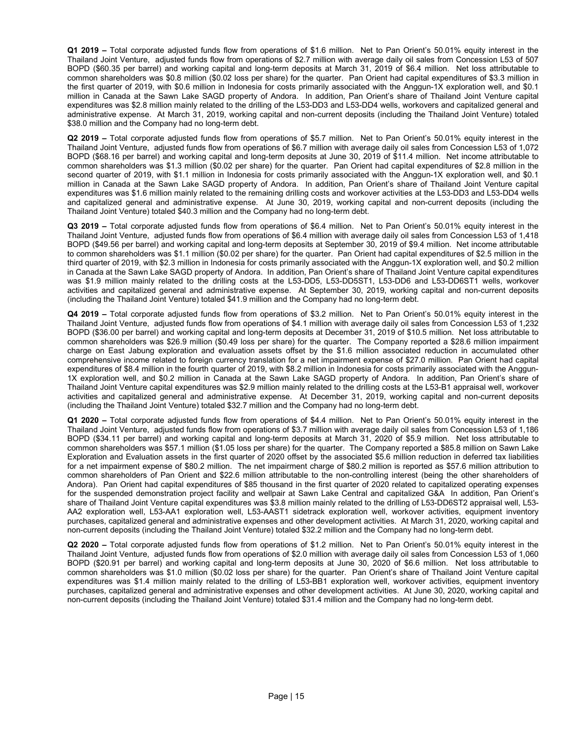Q1 2019 – Total corporate adjusted funds flow from operations of \$1.6 million. Net to Pan Orient's 50.01% equity interest in the Thailand Joint Venture, adjusted funds flow from operations of \$2.7 million with average daily oil sales from Concession L53 of 507 BOPD (\$60.35 per barrel) and working capital and long-term deposits at March 31, 2019 of \$6.4 million. Net loss attributable to common shareholders was \$0.8 million (\$0.02 loss per share) for the quarter. Pan Orient had capital expenditures of \$3.3 million in the first quarter of 2019, with \$0.6 million in Indonesia for costs primarily associated with the Anggun-1X exploration well, and \$0.1 million in Canada at the Sawn Lake SAGD property of Andora. In addition, Pan Orient's share of Thailand Joint Venture capital expenditures was \$2.8 million mainly related to the drilling of the L53-DD3 and L53-DD4 wells, workovers and capitalized general and administrative expense. At March 31, 2019, working capital and non-current deposits (including the Thailand Joint Venture) totaled \$38.0 million and the Company had no long-term debt.

Q2 2019 – Total corporate adjusted funds flow from operations of \$5.7 million. Net to Pan Orient's 50.01% equity interest in the Thailand Joint Venture, adjusted funds flow from operations of \$6.7 million with average daily oil sales from Concession L53 of 1,072 BOPD (\$68.16 per barrel) and working capital and long-term deposits at June 30, 2019 of \$11.4 million. Net income attributable to common shareholders was \$1.3 million (\$0.02 per share) for the quarter. Pan Orient had capital expenditures of \$2.8 million in the second quarter of 2019, with \$1.1 million in Indonesia for costs primarily associated with the Anggun-1X exploration well, and \$0.1 million in Canada at the Sawn Lake SAGD property of Andora. In addition, Pan Orient's share of Thailand Joint Venture capital expenditures was \$1.6 million mainly related to the remaining drilling costs and workover activities at the L53-DD3 and L53-DD4 wells and capitalized general and administrative expense. At June 30, 2019, working capital and non-current deposits (including the Thailand Joint Venture) totaled \$40.3 million and the Company had no long-term debt.

Q3 2019 – Total corporate adjusted funds flow from operations of \$6.4 million. Net to Pan Orient's 50.01% equity interest in the Thailand Joint Venture, adjusted funds flow from operations of \$6.4 million with average daily oil sales from Concession L53 of 1,418 BOPD (\$49.56 per barrel) and working capital and long-term deposits at September 30, 2019 of \$9.4 million. Net income attributable to common shareholders was \$1.1 million (\$0.02 per share) for the quarter. Pan Orient had capital expenditures of \$2.5 million in the third quarter of 2019, with \$2.3 million in Indonesia for costs primarily associated with the Anggun-1X exploration well, and \$0.2 million in Canada at the Sawn Lake SAGD property of Andora. In addition, Pan Orient's share of Thailand Joint Venture capital expenditures was \$1.9 million mainly related to the drilling costs at the L53-DD5, L53-DD5ST1, L53-DD6 and L53-DD6ST1 wells, workover activities and capitalized general and administrative expense. At September 30, 2019, working capital and non-current deposits (including the Thailand Joint Venture) totaled \$41.9 million and the Company had no long-term debt.

Q4 2019 – Total corporate adjusted funds flow from operations of \$3.2 million. Net to Pan Orient's 50.01% equity interest in the Thailand Joint Venture, adjusted funds flow from operations of \$4.1 million with average daily oil sales from Concession L53 of 1,232 BOPD (\$36.00 per barrel) and working capital and long-term deposits at December 31, 2019 of \$10.5 million. Net loss attributable to common shareholders was \$26.9 million (\$0.49 loss per share) for the quarter. The Company reported a \$28.6 million impairment charge on East Jabung exploration and evaluation assets offset by the \$1.6 million associated reduction in accumulated other comprehensive income related to foreign currency translation for a net impairment expense of \$27.0 million. Pan Orient had capital expenditures of \$8.4 million in the fourth quarter of 2019, with \$8.2 million in Indonesia for costs primarily associated with the Anggun-1X exploration well, and \$0.2 million in Canada at the Sawn Lake SAGD property of Andora. In addition, Pan Orient's share of Thailand Joint Venture capital expenditures was \$2.9 million mainly related to the drilling costs at the L53-B1 appraisal well, workover activities and capitalized general and administrative expense. At December 31, 2019, working capital and non-current deposits (including the Thailand Joint Venture) totaled \$32.7 million and the Company had no long-term debt.

Q1 2020 – Total corporate adjusted funds flow from operations of \$4.4 million. Net to Pan Orient's 50.01% equity interest in the Thailand Joint Venture, adjusted funds flow from operations of \$3.7 million with average daily oil sales from Concession L53 of 1,186 BOPD (\$34.11 per barrel) and working capital and long-term deposits at March 31, 2020 of \$5.9 million. Net loss attributable to common shareholders was \$57.1 million (\$1.05 loss per share) for the quarter. The Company reported a \$85.8 million on Sawn Lake Exploration and Evaluation assets in the first quarter of 2020 offset by the associated \$5.6 million reduction in deferred tax liabilities for a net impairment expense of \$80.2 million. The net impairment charge of \$80.2 million is reported as \$57.6 million attribution to common shareholders of Pan Orient and \$22.6 million attributable to the non-controlling interest (being the other shareholders of Andora). Pan Orient had capital expenditures of \$85 thousand in the first quarter of 2020 related to capitalized operating expenses for the suspended demonstration project facility and wellpair at Sawn Lake Central and capitalized G&A In addition, Pan Orient's share of Thailand Joint Venture capital expenditures was \$3.8 million mainly related to the drilling of L53-DD6ST2 appraisal well, L53- AA2 exploration well, L53-AA1 exploration well, L53-AAST1 sidetrack exploration well, workover activities, equipment inventory purchases, capitalized general and administrative expenses and other development activities. At March 31, 2020, working capital and non-current deposits (including the Thailand Joint Venture) totaled \$32.2 million and the Company had no long-term debt.

Q2 2020 – Total corporate adjusted funds flow from operations of \$1.2 million. Net to Pan Orient's 50.01% equity interest in the Thailand Joint Venture, adjusted funds flow from operations of \$2.0 million with average daily oil sales from Concession L53 of 1,060 BOPD (\$20.91 per barrel) and working capital and long-term deposits at June 30, 2020 of \$6.6 million. Net loss attributable to common shareholders was \$1.0 million (\$0.02 loss per share) for the quarter. Pan Orient's share of Thailand Joint Venture capital expenditures was \$1.4 million mainly related to the drilling of L53-BB1 exploration well, workover activities, equipment inventory purchases, capitalized general and administrative expenses and other development activities. At June 30, 2020, working capital and non-current deposits (including the Thailand Joint Venture) totaled \$31.4 million and the Company had no long-term debt.